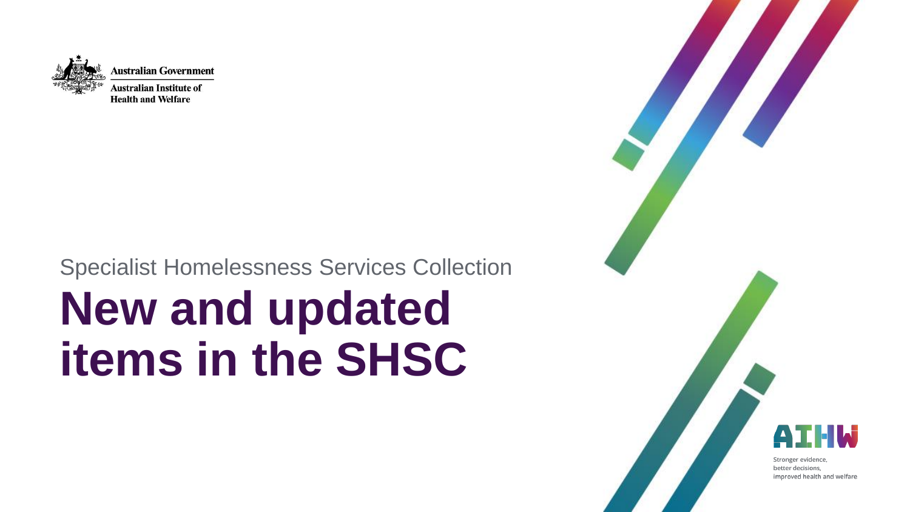

### Specialist Homelessness Services Collection

# **New and updated items in the SHSC**

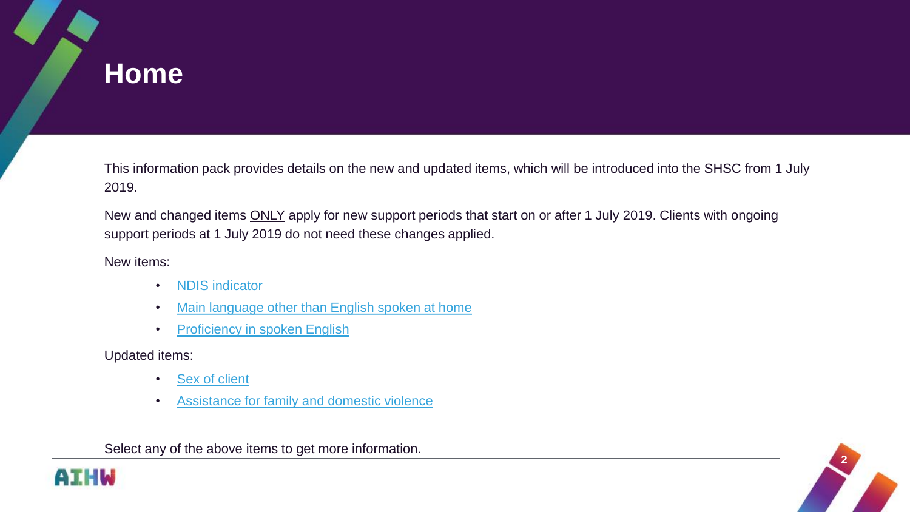## <span id="page-1-0"></span>**Home**

This information pack provides details on the new and updated items, which will be introduced into the SHSC from 1 July 2019.

New and changed items **ONLY** apply for new support periods that start on or after 1 July 2019. Clients with ongoing support periods at 1 July 2019 do not need these changes applied.

New items:

- [NDIS indicator](#page-2-0)
- [Main language other than English spoken at home](#page-5-0)
- [Proficiency in spoken English](#page-9-0)

Updated items:

- [Sex of client](#page-12-0)
- [Assistance for family and domestic violence](#page-14-0)

Select any of the above items to get more information.



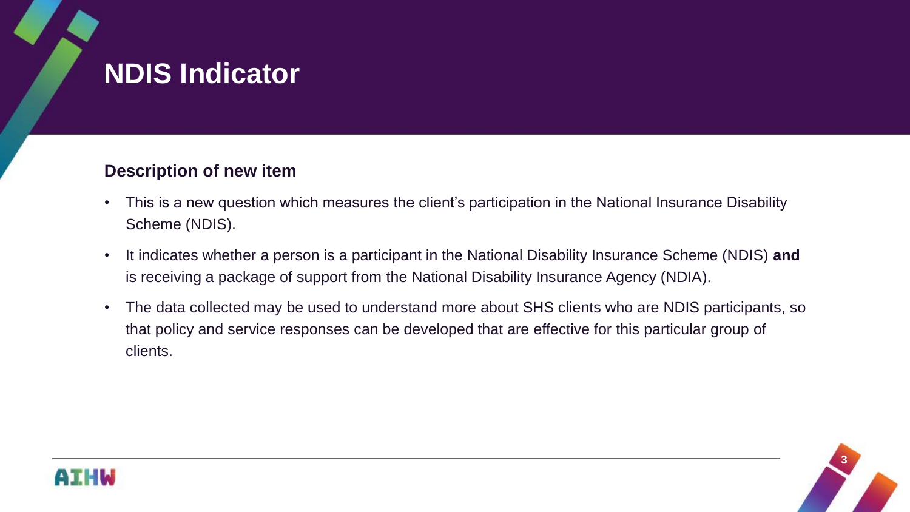## <span id="page-2-0"></span>**NDIS Indicator**

### **Description of new item**

- This is a new question which measures the client's participation in the National Insurance Disability Scheme (NDIS).
- It indicates whether a person is a participant in the National Disability Insurance Scheme (NDIS) **and** is receiving a package of support from the National Disability Insurance Agency (NDIA).
- The data collected may be used to understand more about SHS clients who are NDIS participants, so that policy and service responses can be developed that are effective for this particular group of clients.



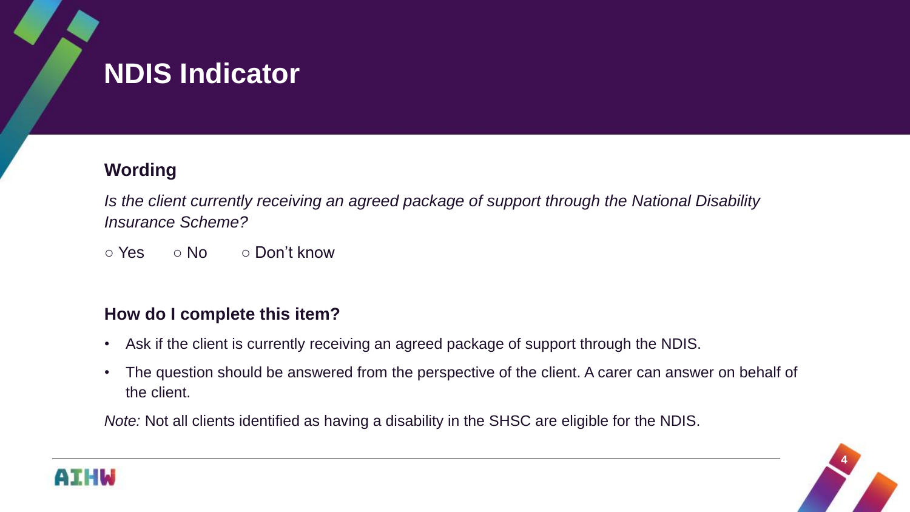## **NDIS Indicator**

### **Wording**

*Is the client currently receiving an agreed package of support through the National Disability Insurance Scheme?*

○ Yes ○ No ○ Don't know

### **How do I complete this item?**

- Ask if the client is currently receiving an agreed package of support through the NDIS.
- The question should be answered from the perspective of the client. A carer can answer on behalf of the client.

*Note:* Not all clients identified as having a disability in the SHSC are eligible for the NDIS.



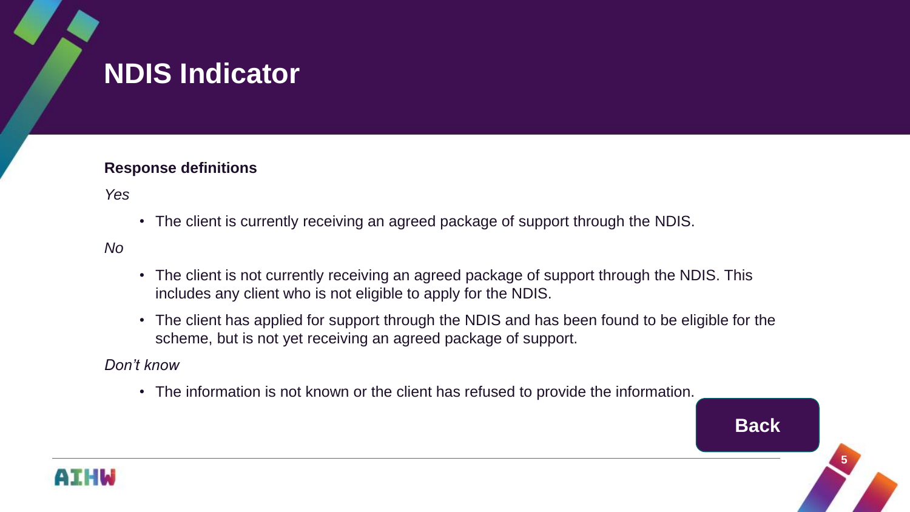## **NDIS Indicator**

#### **Response definitions**

*Yes*

• The client is currently receiving an agreed package of support through the NDIS.

*No*

- The client is not currently receiving an agreed package of support through the NDIS. This includes any client who is not eligible to apply for the NDIS.
- The client has applied for support through the NDIS and has been found to be eligible for the scheme, but is not yet receiving an agreed package of support.

#### *Don't know*

• The information is not known or the client has refused to provide the information.



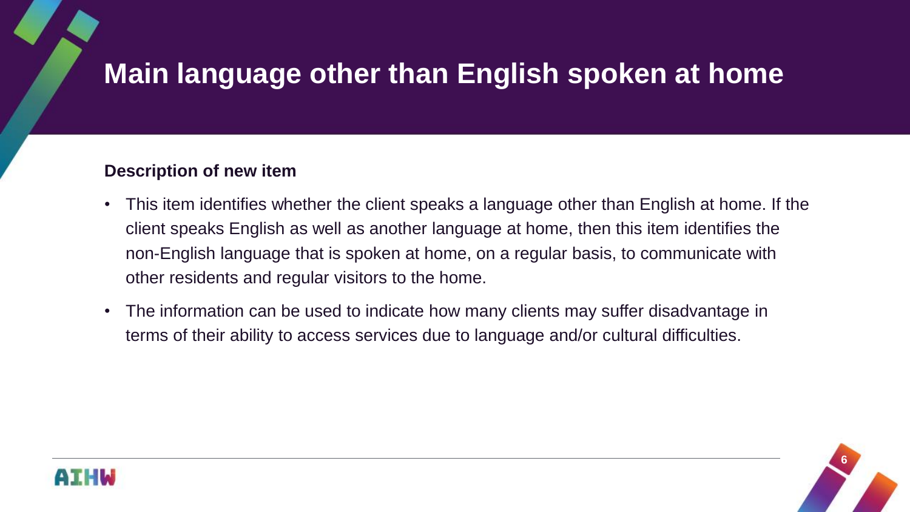### <span id="page-5-0"></span>**Description of new item**

- This item identifies whether the client speaks a language other than English at home. If the client speaks English as well as another language at home, then this item identifies the non-English language that is spoken at home, on a regular basis, to communicate with other residents and regular visitors to the home.
- The information can be used to indicate how many clients may suffer disadvantage in terms of their ability to access services due to language and/or cultural difficulties.



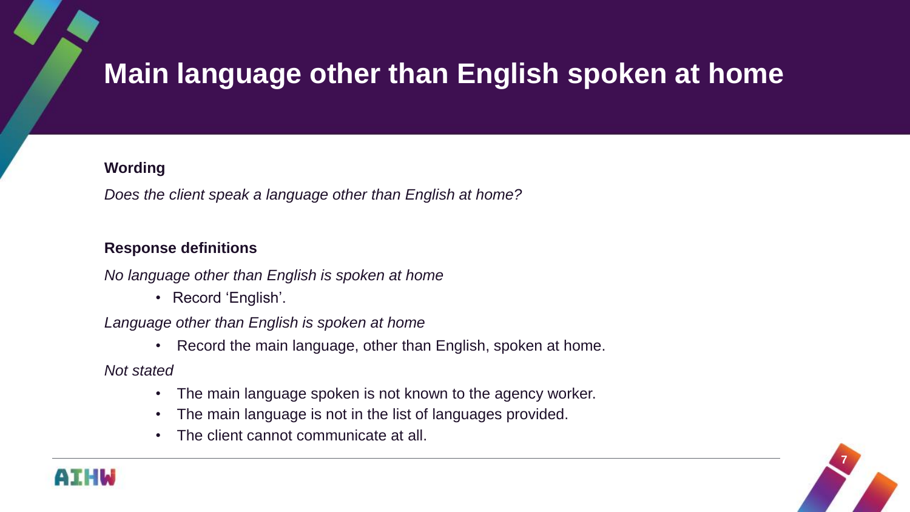#### **Wording**

*Does the client speak a language other than English at home?* 

#### **Response definitions**

*No language other than English is spoken at home*

• Record 'English'.

*Language other than English is spoken at home*

• Record the main language, other than English, spoken at home.

*Not stated*

- The main language spoken is not known to the agency worker.
- The main language is not in the list of languages provided.
- The client cannot communicate at all.



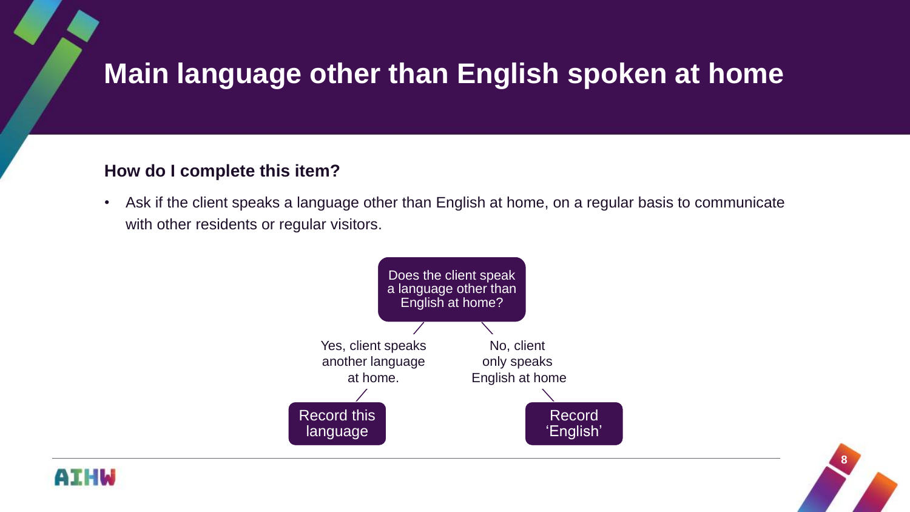### **How do I complete this item?**

• Ask if the client speaks a language other than English at home, on a regular basis to communicate with other residents or regular visitors.





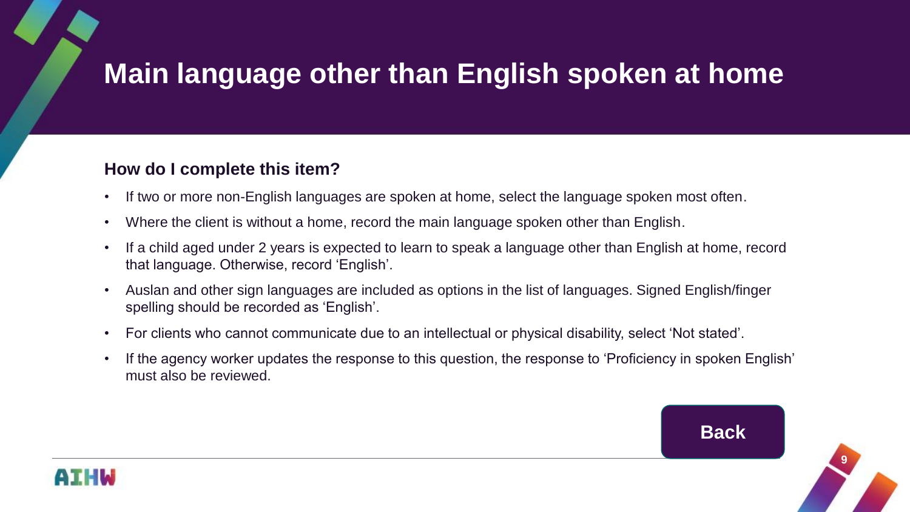### **How do I complete this item?**

- If two or more non-English languages are spoken at home, select the language spoken most often.
- Where the client is without a home, record the main language spoken other than English.
- If a child aged under 2 years is expected to learn to speak a language other than English at home, record that language. Otherwise, record 'English'.
- Auslan and other sign languages are included as options in the list of languages. Signed English/finger spelling should be recorded as 'English'.
- For clients who cannot communicate due to an intellectual or physical disability, select 'Not stated'.
- If the agency worker updates the response to this question, the response to 'Proficiency in spoken English' must also be reviewed.



**9**

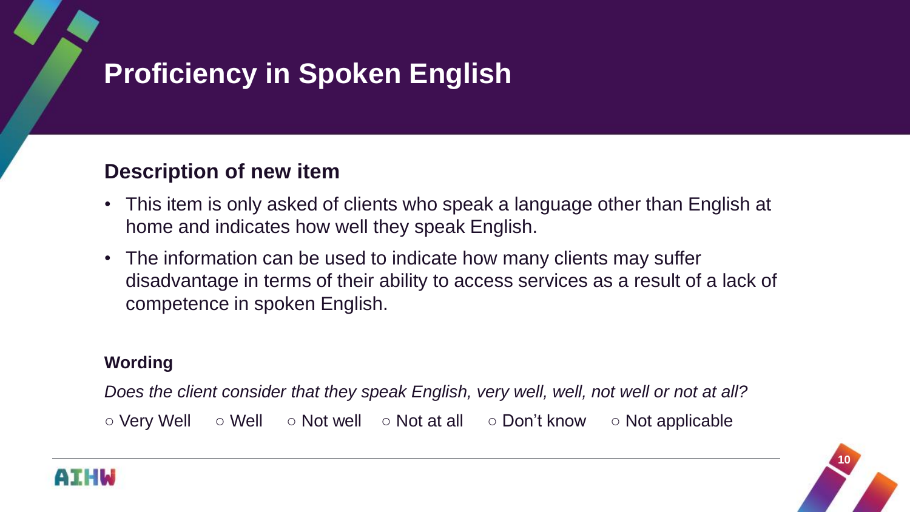## <span id="page-9-0"></span>**Proficiency in Spoken English**

## **Description of new item**

- This item is only asked of clients who speak a language other than English at home and indicates how well they speak English.
- The information can be used to indicate how many clients may suffer disadvantage in terms of their ability to access services as a result of a lack of competence in spoken English.

### **Wording**

*Does the client consider that they speak English, very well, well, not well or not at all?*

○ Very Well ○ Well ○ Not well ○ Not at all ○ Don't know ○ Not applicable



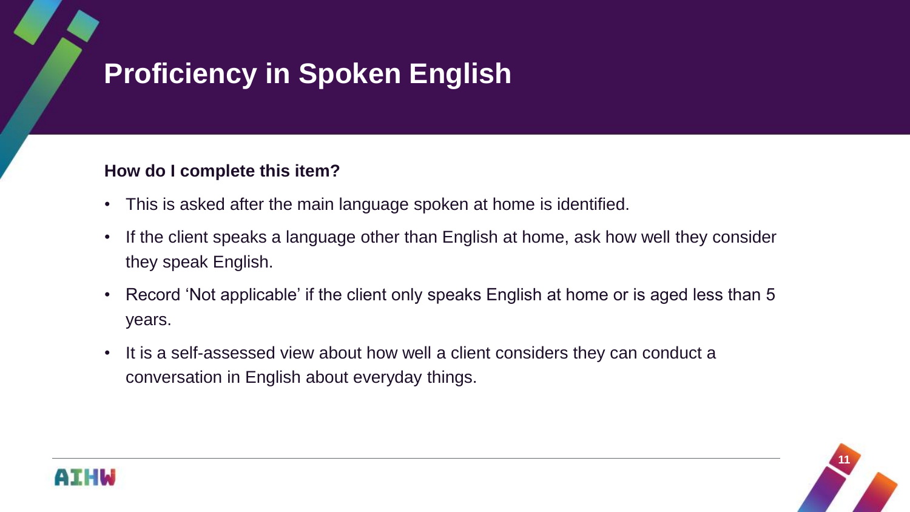## **Proficiency in Spoken English**

### **How do I complete this item?**

- This is asked after the main language spoken at home is identified.
- If the client speaks a language other than English at home, ask how well they consider they speak English.
- Record 'Not applicable' if the client only speaks English at home or is aged less than 5 years.
- It is a self-assessed view about how well a client considers they can conduct a conversation in English about everyday things.



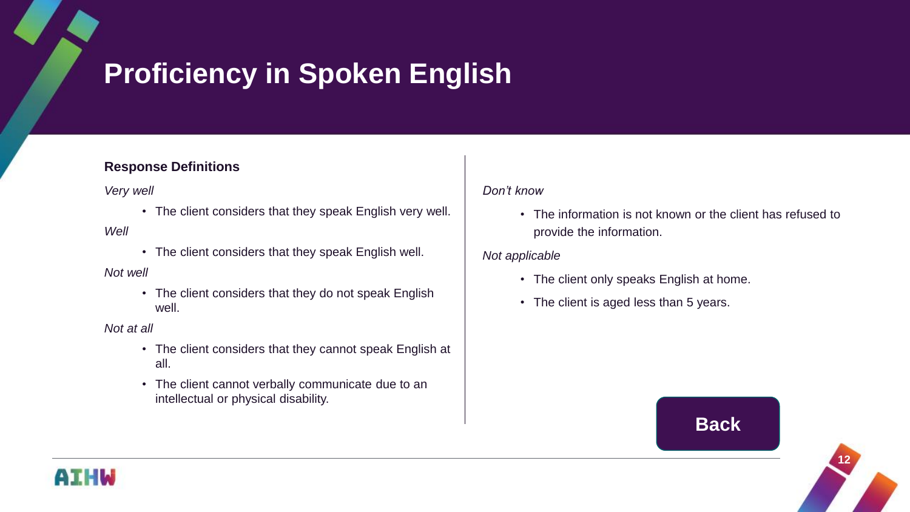## **Proficiency in Spoken English**

#### **Response Definitions**

*Very well*

• The client considers that they speak English very well.

#### *Well*

• The client considers that they speak English well.

#### *Not well*

• The client considers that they do not speak English well.

*Not at all*

- The client considers that they cannot speak English at all.
- The client cannot verbally communicate due to an intellectual or physical disability.

#### *Don't know*

• The information is not known or the client has refused to provide the information.

#### *Not applicable*

- The client only speaks English at home.
- The client is aged less than 5 years.

### **[Back](#page-1-0)**



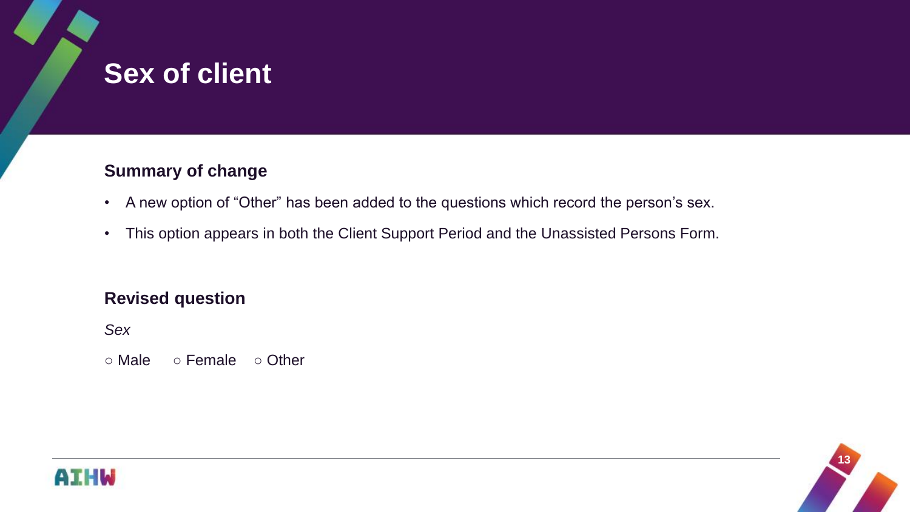## <span id="page-12-0"></span>**Sex of client**

### **Summary of change**

- A new option of "Other" has been added to the questions which record the person's sex.
- This option appears in both the Client Support Period and the Unassisted Persons Form.

### **Revised question**

*Sex*

○ Male ○ Female ○ Other



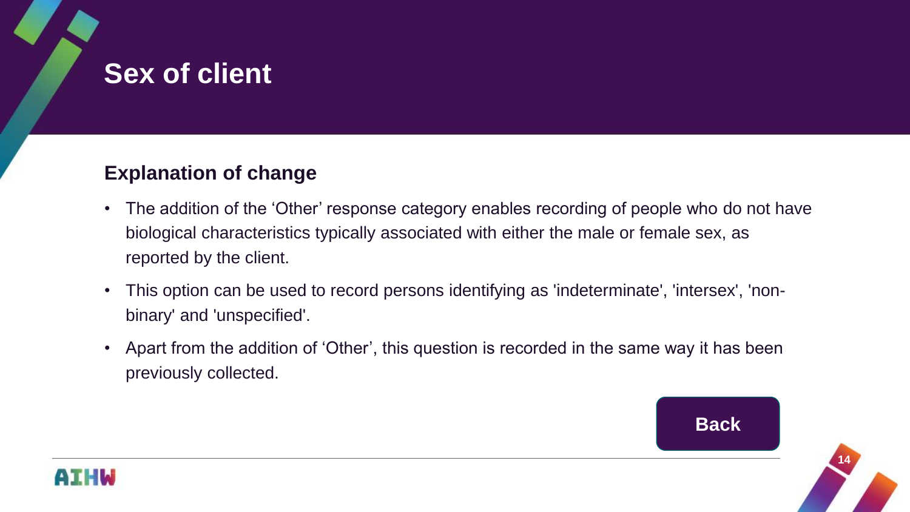## **Sex of client**

### **Explanation of change**

- The addition of the 'Other' response category enables recording of people who do not have biological characteristics typically associated with either the male or female sex, as reported by the client.
- This option can be used to record persons identifying as 'indeterminate', 'intersex', 'nonbinary' and 'unspecified'.
- Apart from the addition of 'Other', this question is recorded in the same way it has been previously collected.



**14**

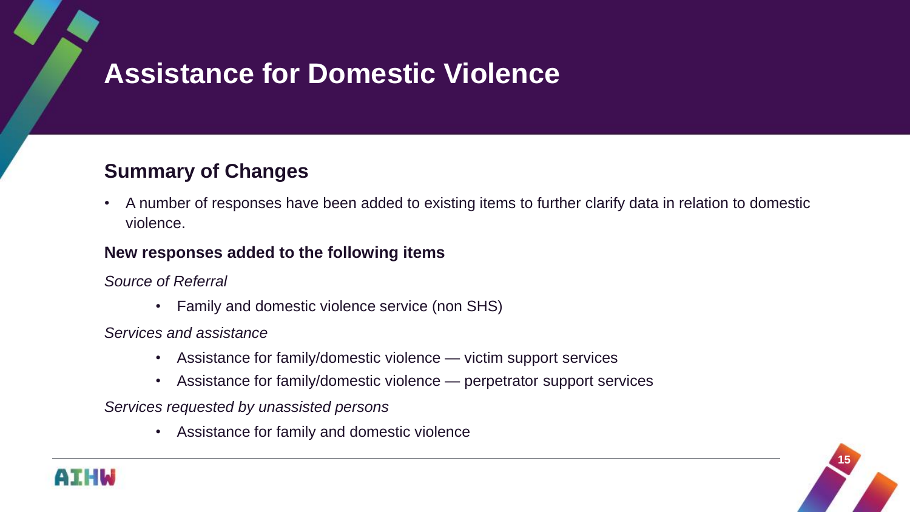### <span id="page-14-0"></span>**Summary of Changes**

• A number of responses have been added to existing items to further clarify data in relation to domestic violence.

#### **New responses added to the following items**

*Source of Referral*

• Family and domestic violence service (non SHS)

*Services and assistance*

- Assistance for family/domestic violence victim support services
- Assistance for family/domestic violence perpetrator support services

*Services requested by unassisted persons*

• Assistance for family and domestic violence



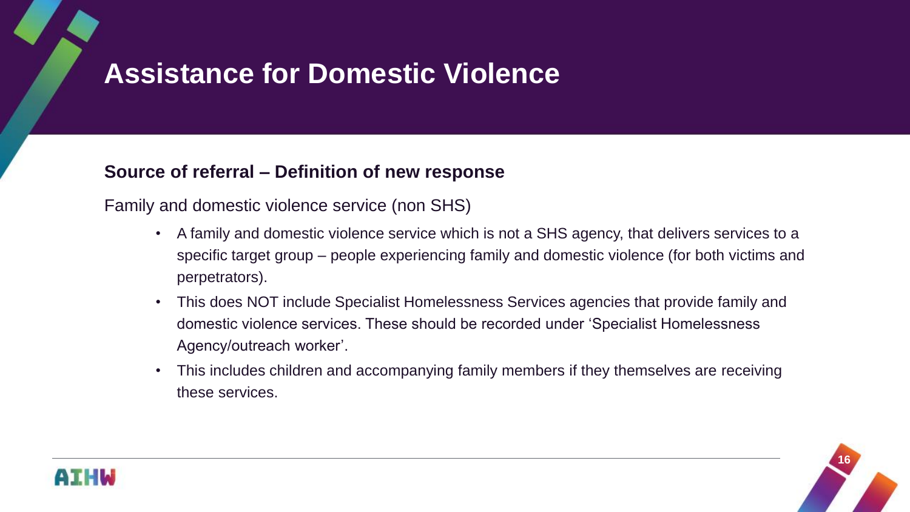### **Source of referral – Definition of new response**

Family and domestic violence service (non SHS)

- A family and domestic violence service which is not a SHS agency, that delivers services to a specific target group – people experiencing family and domestic violence (for both victims and perpetrators).
- This does NOT include Specialist Homelessness Services agencies that provide family and domestic violence services. These should be recorded under 'Specialist Homelessness Agency/outreach worker'.
- This includes children and accompanying family members if they themselves are receiving these services.



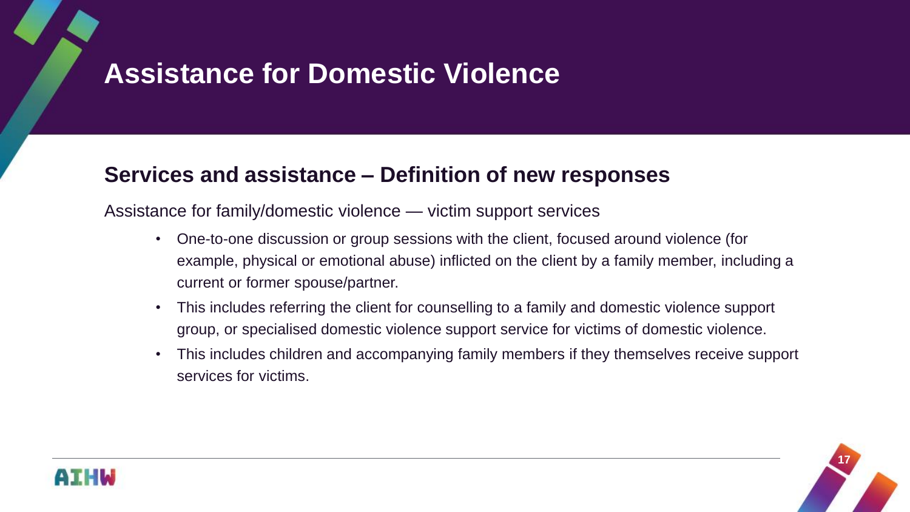## **Services and assistance – Definition of new responses**

Assistance for family/domestic violence — victim support services

- One-to-one discussion or group sessions with the client, focused around violence (for example, physical or emotional abuse) inflicted on the client by a family member, including a current or former spouse/partner.
- This includes referring the client for counselling to a family and domestic violence support group, or specialised domestic violence support service for victims of domestic violence.
- This includes children and accompanying family members if they themselves receive support services for victims.



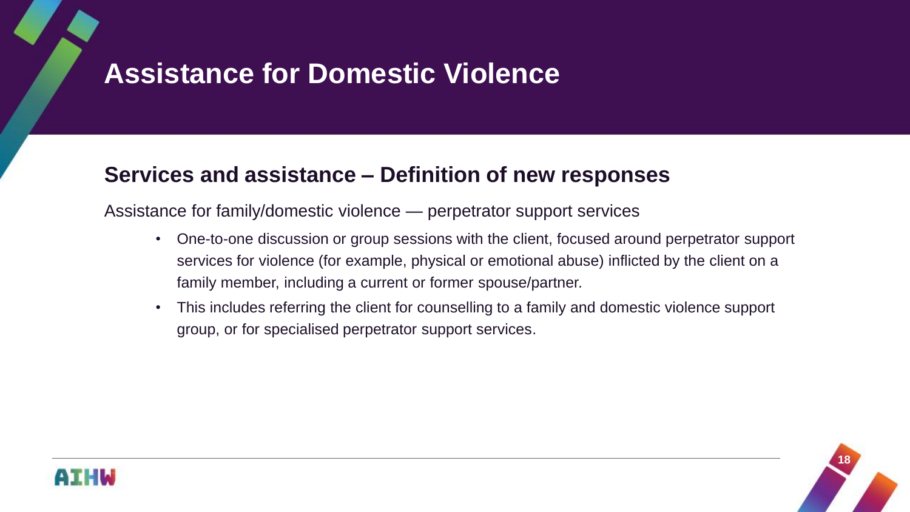### **Services and assistance – Definition of new responses**

Assistance for family/domestic violence — perpetrator support services

- One-to-one discussion or group sessions with the client, focused around perpetrator support services for violence (for example, physical or emotional abuse) inflicted by the client on a family member, including a current or former spouse/partner.
- This includes referring the client for counselling to a family and domestic violence support group, or for specialised perpetrator support services.